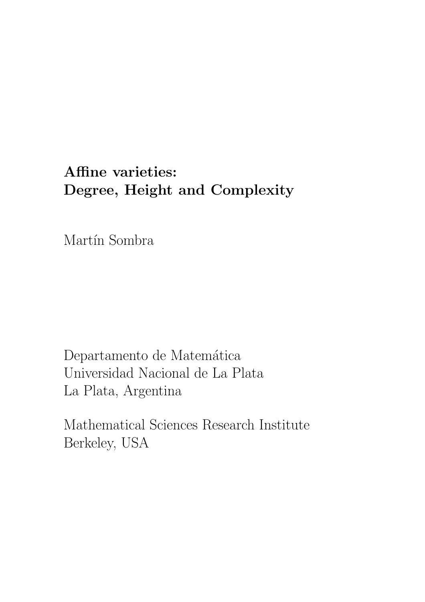# Affine varieties: Degree, Height and Complexity

Martín Sombra

Departamento de Matemática Universidad Nacional de La Plata La Plata, Argentina

Mathematical Sciences Research Institute Berkeley, USA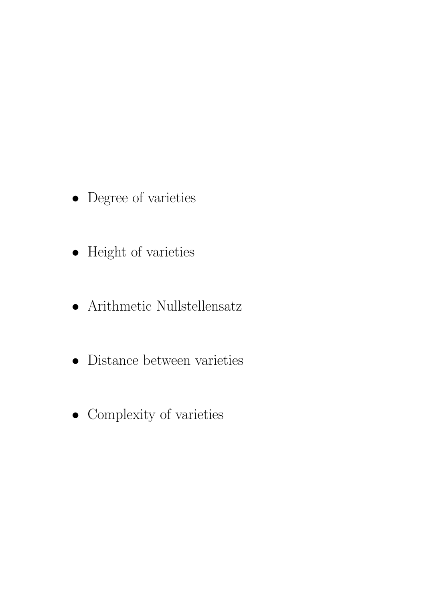- Degree of varieties
- $\bullet~$  Height of varieties
- $\bullet~$  Arithmetic Nullstellensatz
- Distance between varieties
- Complexity of varieties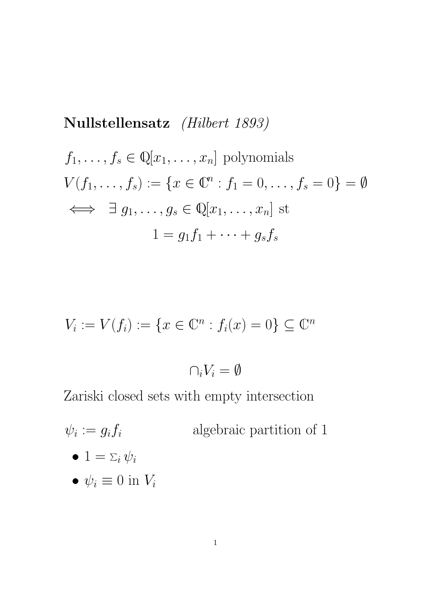Nullstellensatz *(Hilbert 1893)*  
\n
$$
f_1, ..., f_s \in \mathbb{Q}[x_1, ..., x_n]
$$
 polynomials  
\n $V(f_1, ..., f_s) := \{x \in \mathbb{C}^n : f_1 = 0, ..., f_s = 0\} = \emptyset$   
\n $\iff \exists g_1, ..., g_s \in \mathbb{Q}[x_1, ..., x_n]$ st  
\n $1 = g_1 f_1 + ... + g_s f_s$ 

$$
V_i := V(f_i) := \{ x \in \mathbb{C}^n : f_i(x) = 0 \} \subseteq \mathbb{C}^n
$$

$$
\cap_i V_i = \emptyset
$$

Zariski closed sets with empty intersection

 $\psi_i := g_i f_i$ algebraic partition of  $1$  $\bullet\, 1 = \Sigma_i\, \psi_i$ •  $\psi_i \equiv 0$  in  $V_i$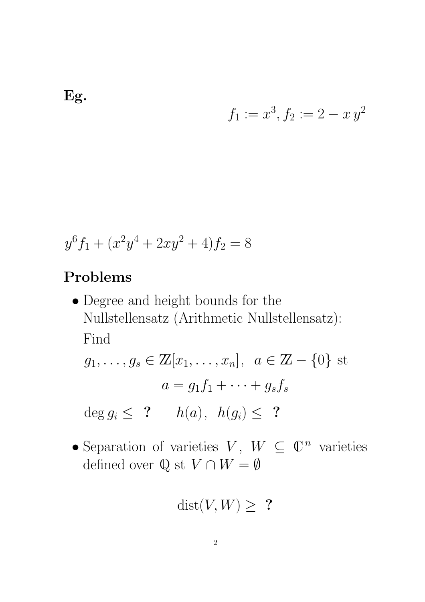$$
f_1 := x^3, f_2 := 2 - x y^2
$$

$$
y^6 f_1 + (x^2 y^4 + 2xy^2 + 4)f_2 = 8
$$

# Problems

• Degree and height bounds for the Nullstellensatz (Arithmetic Nullstellensatz): Find

$$
g_1, \ldots, g_s \in \mathbb{Z}[x_1, \ldots, x_n], \ a \in \mathbb{Z} - \{0\} \text{ st}
$$

$$
a = g_1 f_1 + \cdots + g_s f_s
$$

$$
\deg g_i \leq 2 \qquad h(a), \ h(g_i) \leq 2
$$

• Separation of varieties  $V, W \subseteq \mathbb{C}^n$  varieties defined over  $\mathbb Q$  st  $V \cap W = \emptyset$ 

$$
\text{dist}(V, W) \geq ?
$$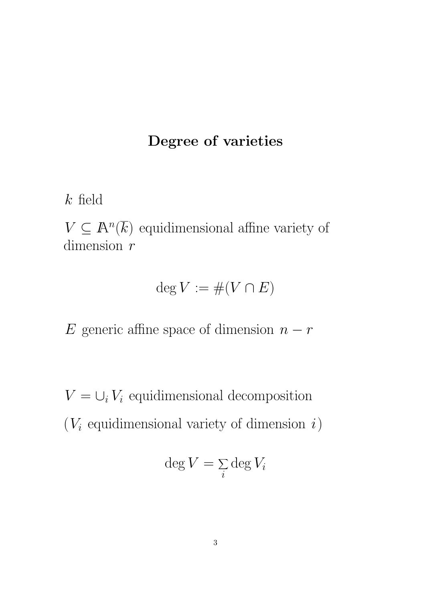## Degree of varieties

 $k$  field

 $V \subseteq \mathbb{A}^n(\overline{k})$  equidimensional affine variety of dimension r

$$
\deg V := \#(V \cap E)
$$

E generic affine space of dimension  $n - r$ 

 $V = \bigcup_i V_i$  equidimensional decomposition  $(V_i$  equidimensional variety of dimension  $i)$ 

$$
\deg V = \sum_i \deg V_i
$$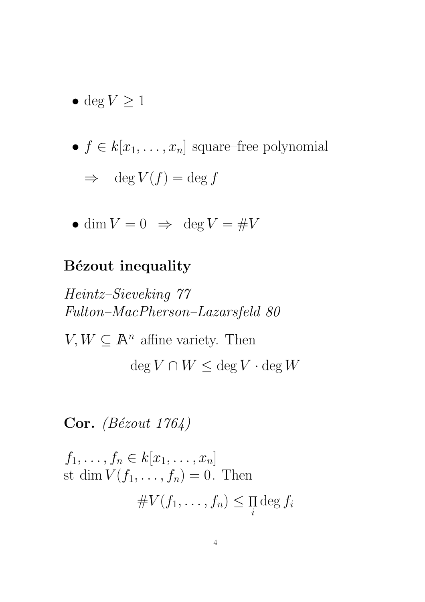- deg  $V \geq 1$
- $f \in k[x_1, \ldots, x_n]$  square–free polynomial  $\Rightarrow$  deg  $V(f) = \deg f$
- dim  $V = 0 \Rightarrow \deg V = \# V$

### Bézout inequality

Heintz–Sieveking 77 Fulton–MacPherson–Lazarsfeld 80  $V, W \subseteq \mathbb{A}^n$  affine variety. Then

 $\deg V \cap W \leq \deg V \cdot \deg W$ 

Cor. *(Bézout 1764)* 

$$
f_1, \ldots, f_n \in k[x_1, \ldots, x_n]
$$
  
st dim  $V(f_1, \ldots, f_n) = 0$ . Then  

$$
\# V(f_1, \ldots, f_n) \leq \prod_i \deg f_i
$$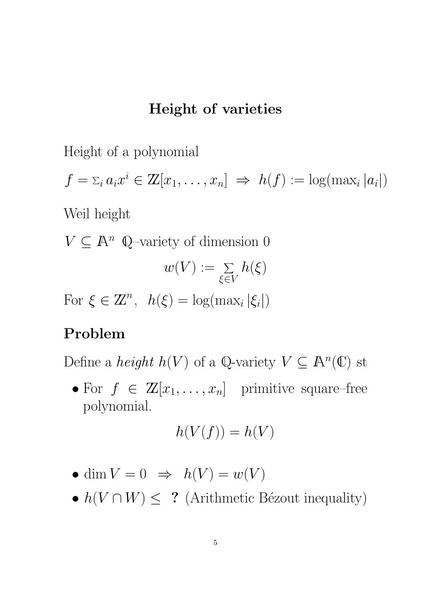#### Height of varieties

Height of a polynomial

$$
f = \sum_i a_i x^i \in \mathbb{Z}[x_1, \ldots, x_n] \implies h(f) := \log(\max_i |a_i|)
$$

Weil height

 $V \subseteq \mathbb{A}^n$  Q-variety of dimension 0  $w(V) := \; \Sigma$  $\xi{\in}V$  $h(\xi)$ For  $\xi \in \mathbb{Z}^n$ ,  $h(\xi) = \log(\max_i |\xi_i|)$ 

### Problem

Define a *height*  $h(V)$  of a Q-variety  $V \subseteq \mathbb{A}^n(\mathbb{C})$  st

• For  $f \in \mathbb{Z}[x_1,\ldots,x_n]$  primitive square–free polynomial.

$$
h(V(f)) = h(V)
$$

- dim  $V = 0 \Rightarrow h(V) = w(V)$
- $h(V \cap W) \leq ?$  (Arithmetic Bézout inequality)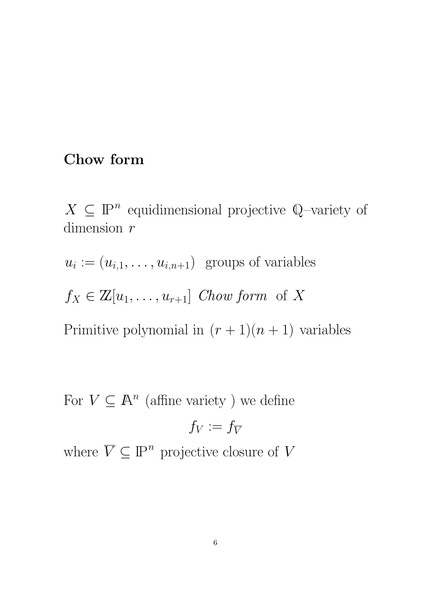### Chow form

 $X \subseteq \mathbb{P}^n$  equidimensional projective Q-variety of dimension  $r$ 

 $u_i := (u_{i,1}, \ldots, u_{i,n+1})$  groups of variables

 $f_X \in \mathbb{Z}[u_1,\ldots,u_{r+1}]$  Chow form of X

Primitive polynomial in  $(r + 1)(n + 1)$  variables

For  $V \subseteq \mathbb{A}^n$  (affine variety) we define

$$
f_V:=f_{\overline{V}}
$$

where  $\overline{V} \subseteq \mathbb{P}^n$  projective closure of V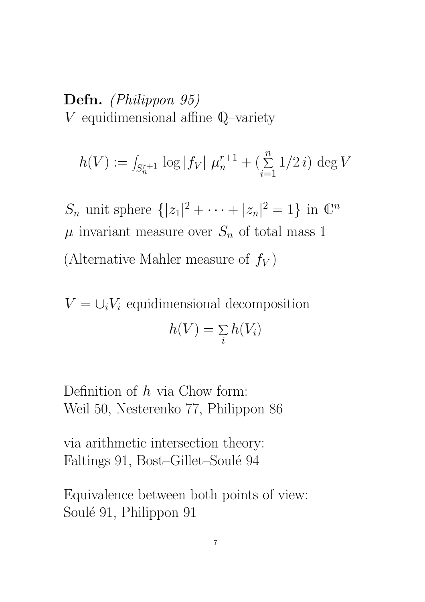Defn. (Philippon 95)  $V$  equidimensional affine  $\mathbb Q$  –variety

$$
h(V) := \int_{S_n^{r+1}} \log |f_V| \mu_n^{r+1} + \left(\sum_{i=1}^n 1/2 i\right) \deg V
$$

 $S_n$  unit sphere  $\{|z_1|^2 + \cdots + |z_n|^2 = 1\}$  in  $\mathbb{C}^n$  $\mu$  invariant measure over  $S_n$  of total mass 1 (Alternative Mahler measure of  $f_V$ )

 $V = \bigcup_i V_i$  equidimensional decomposition  $h(V) = \Sigma$ i  $h(V_i)$ 

Definition of  $h$  via Chow form: Weil 50, Nesterenko 77, Philippon 86

via arithmetic intersection theory: Faltings 91, Bost–Gillet–Soulé 94

Equivalence between both points of view: Soulé 91, Philippon 91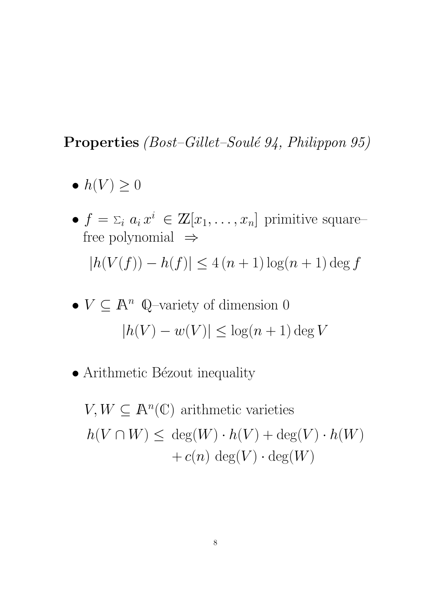## **Properties** (Bost–Gillet–Soulé 94, Philippon 95)

- $\bullet h(V) \geq 0$
- $f = \sum_i a_i x^i \in \mathbb{Z}[x_1, \ldots, x_n]$  primitive squarefree polynomial ⇒  $|h(V(f)) - h(f)| \leq 4 (n + 1) \log(n + 1) \deg f$
- $V \subseteq \mathbb{A}^n$  Q-variety of dimension 0  $|h(V) - w(V)| \leq \log(n + 1) \deg V$
- Arithmetic Bézout inequality

 $V, W \subseteq \mathbb{A}^n(\mathbb{C})$  arithmetic varieties  $h(V \cap W) \leq \deg(W) \cdot h(V) + \deg(V) \cdot h(W)$  $+c(n) \deg(V) \cdot \deg(W)$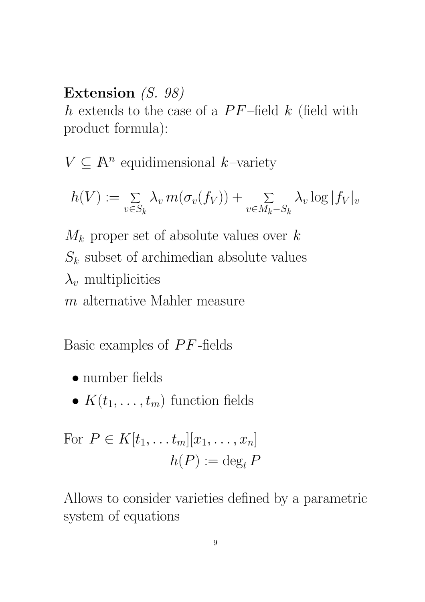### Extension (S. 98)

h extends to the case of a  $PF$ -field k (field with product formula):

 $V \subseteq \mathbb{A}^n$  equidimensional k-variety

$$
h(V) := \sum_{v \in S_k} \lambda_v m(\sigma_v(f_V)) + \sum_{v \in M_k - S_k} \lambda_v \log |f_V|_v
$$

 $M_k$  proper set of absolute values over k  $S_k$  subset of archimedian absolute values  $\lambda_v$  multiplicities m alternative Mahler measure

Basic examples of  $PF$ -fields

- number fields
- $K(t_1, \ldots, t_m)$  function fields

For 
$$
P \in K[t_1, \ldots t_m][x_1, \ldots, x_n]
$$
  
\n
$$
h(P) := \deg_t P
$$

Allows to consider varieties defined by a parametric system of equations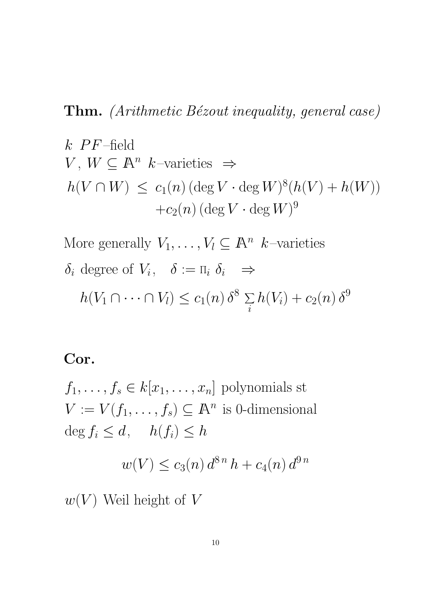## Thm. (Arithmetic Bézout inequality, general case)

k *PF*-field  
\n
$$
V, W \subseteq \mathbb{A}^n
$$
 k–varieties  $\Rightarrow$   
\n $h(V \cap W) \le c_1(n) (\deg V \cdot \deg W)^8 (h(V) + h(W))$   
\n $+ c_2(n) (\deg V \cdot \deg W)^9$ 

More generally  $V_1, \ldots, V_l \subseteq \mathbb{A}^n$  k-varieties  $\delta_i$  degree of  $V_i$ ,  $\delta := \Pi_i \delta_i \Rightarrow$  $h(V_1 \cap \cdots \cap V_l) \leq c_1(n) \delta^8 \sum_l$ i  $h(V_i)+c_2(n)\,\delta^9$ 

#### Cor.

 $f_1, \ldots, f_s \in k[x_1, \ldots, x_n]$  polynomials st  $V := V(f_1, \ldots, f_s) \subseteq \mathbb{A}^n$  is 0-dimensional  $\deg f_i \leq d$ ,  $h(f_i) \leq h$ 

$$
w(V) \le c_3(n) d^{8n} h + c_4(n) d^{9n}
$$

 $w(V)$  Weil height of V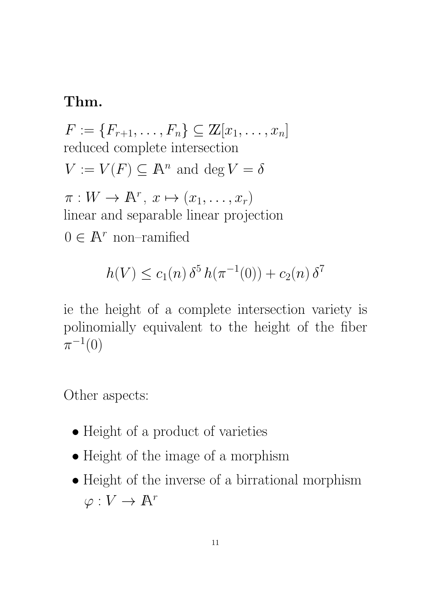#### Thm.

 $F := \{F_{r+1}, \ldots, F_n\} \subseteq \mathbb{Z}[x_1, \ldots, x_n]$ reduced complete intersection  $V := V(F) \subseteq \mathbb{A}^n$  and  $\deg V = \delta$  $\pi: W \to \mathbb{A}^r, x \mapsto (x_1, \ldots, x_r)$ linear and separable linear projection  $0 \in \mathbb{A}^r$  non-ramified

$$
h(V) \le c_1(n) \,\delta^5 \, h(\pi^{-1}(0)) + c_2(n) \,\delta^7
$$

ie the height of a complete intersection variety is polinomially equivalent to the height of the fiber  $\pi^{-1}(0)$ 

Other aspects:

- Height of a product of varieties
- Height of the image of a morphism
- Height of the inverse of a birrational morphism  $\varphi: V \to \mathbb{A}^r$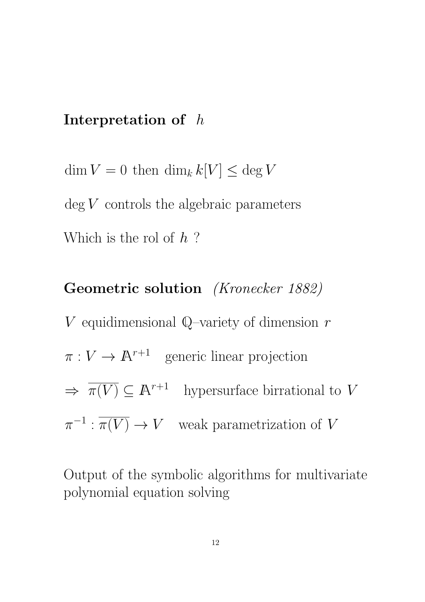#### Interpretation of h

 $\dim V = 0$  then  $\dim_k k[V] \leq \deg V$  $\deg V$  controls the algebraic parameters Which is the rol of  $h$ ?

Geometric solution (Kronecker 1882) V equidimensional Q–variety of dimension  $r$  $\pi: V \to \mathbb{A}^{r+1}$  generic linear projection  $\Rightarrow \overline{\pi(V)} \subseteq \mathbb{A}^{r+1}$  hypersurface birrational to V  $\pi^{-1} : \overline{\pi(V)} \to V$  weak parametrization of V

Output of the symbolic algorithms for multivariate polynomial equation solving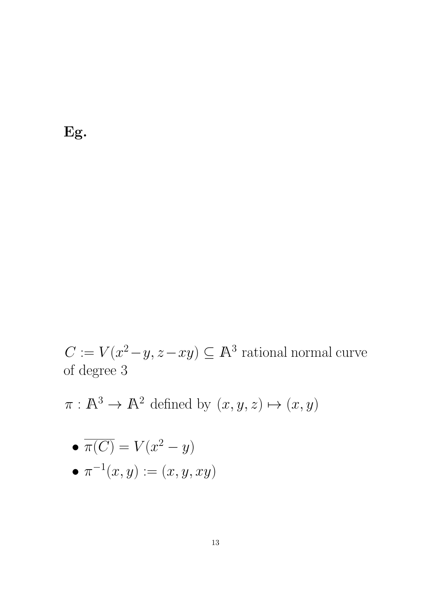Eg.

 $C := V(x^2 - y, z - xy) \subseteq \mathbb{A}^3$  rational normal curve of degree 3

 $\pi : \mathbb{A}^3 \to \mathbb{A}^2$  defined by  $(x, y, z) \mapsto (x, y)$ 

$$
\bullet \ \overline{\pi(C)} = V(x^2 - y)
$$

$$
\bullet \ \pi^{-1}(x, y) := (x, y, xy)
$$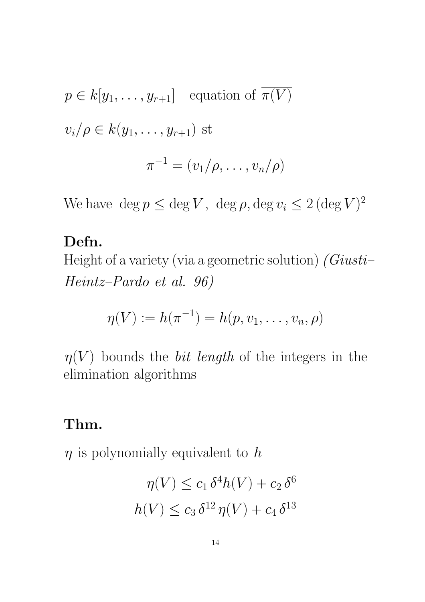$$
p \in k[y_1, \ldots, y_{r+1}]
$$
 equation of  $\overline{\pi(V)}$   
 $v_i/\rho \in k(y_1, \ldots, y_{r+1})$ st  
 $\pi^{-1} = (v_1/\rho, \ldots, v_n/\rho)$ 

We have  $\deg p \le \deg V$ ,  $\deg \rho$ ,  $\deg v_i \le 2 (\deg V)^2$ 

## Defn.

Height of a variety (via a geometric solution)  $(Giusti-)$ Heintz–Pardo et al. 96)

$$
\eta(V) := h(\pi^{-1}) = h(p, v_1, \dots, v_n, \rho)
$$

 $\eta(V)$  bounds the *bit length* of the integers in the elimination algorithms

## Thm.

 $\eta$  is polynomially equivalent to h

$$
\eta(V) \le c_1 \delta^4 h(V) + c_2 \delta^6
$$
  

$$
h(V) \le c_3 \delta^{12} \eta(V) + c_4 \delta^{13}
$$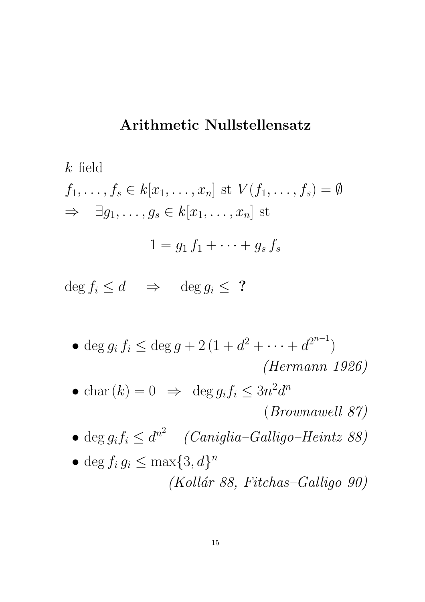## Arithmetic Nullstellensatz

$$
k \text{ field}
$$
  
\n $f_1, \ldots, f_s \in k[x_1, \ldots, x_n] \text{ st } V(f_1, \ldots, f_s) = \emptyset$   
\n $\Rightarrow \exists g_1, \ldots, g_s \in k[x_1, \ldots, x_n] \text{ st}$   
\n $1 = g_1 f_1 + \cdots + g_s f_s$ 

 $\deg f_i \leq d \implies \deg g_i \leq ?$ 

- deg  $g_i f_i \leq \deg g + 2(1 + d^2 + \cdots + d^{2^{n-1}})$ (Hermann 1926)
- char  $(k) = 0 \Rightarrow \deg g_i f_i \leq 3n^2 d^n$

(Brownawell 87)

- deg  $g_i f_i \leq d^{n^2}$  (Caniglia-Galligo-Heintz 88)
- deg  $f_i g_i \leq \max\{3, d\}^n$  $(Kollár 88, Fitchas-Galligo 90)$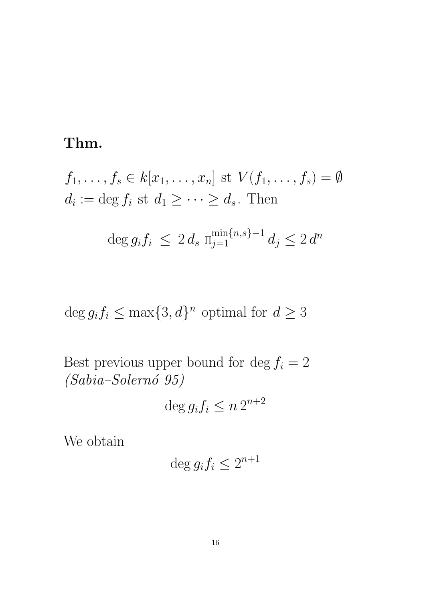## Thm.

$$
f_1, \ldots, f_s \in k[x_1, \ldots, x_n] \text{ st } V(f_1, \ldots, f_s) = \emptyset
$$
  

$$
d_i := \deg f_i \text{ st } d_1 \geq \cdots \geq d_s. \text{ Then}
$$

$$
\deg g_i f_i \le 2 d_s \lim_{j=1}^{\min\{n,s\}-1} d_j \le 2 d^n
$$

 $\deg g_i f_i \leq \max\{3, d\}^n$  optimal for  $d \geq 3$ 

Best previous upper bound for  $\deg f_i = 2$ (Sabia–Solern´o 95)

$$
\deg g_i f_i \le n \, 2^{n+2}
$$

We obtain

$$
\deg g_i f_i \le 2^{n+1}
$$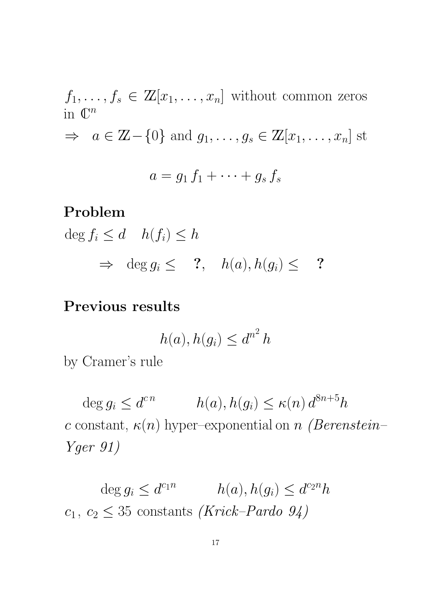$$
f_1, \ldots, f_s \in \mathbb{Z}[x_1, \ldots, x_n]
$$
 without common zeros  
\nin  $\mathbb{C}^n$   
\n $\Rightarrow a \in \mathbb{Z} - \{0\}$  and  $g_1, \ldots, g_s \in \mathbb{Z}[x_1, \ldots, x_n]$  st  
\n $a = g_1 f_1 + \cdots + g_s f_s$ 

#### Problem

 $\deg f_i \leq d \quad h(f_i) \leq h$  $\Rightarrow$  deg  $g_i \leq$  ?,  $h(a), h(g_i) \leq$  ?

## Previous results

$$
h(a), h(g_i) \le d^{n^2} h
$$

by Cramer's rule

 $\deg g_i \leq d^{cn}$   $h(a), h(g_i) \leq \kappa(n) d^{8n+5}h$ c constant,  $\kappa(n)$  hyper–exponential on n (Berenstein– Yger 91)

deg  $g_i \leq d^{c_1 n}$   $h(a), h(g_i) \leq d^{c_2 n} h$  $c_1, c_2 \leq 35$  constants (Krick–Pardo 94)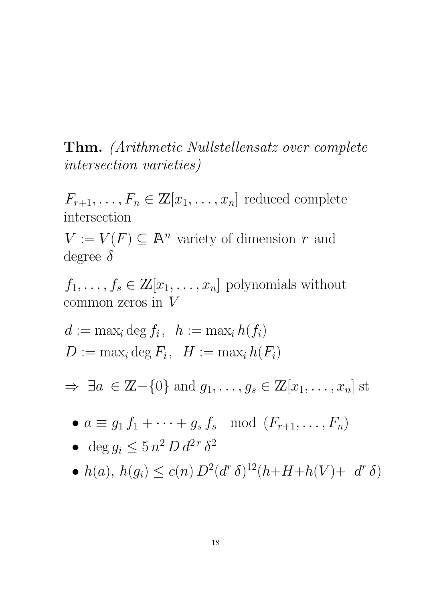Thm. (Arithmetic Nullstellensatz over complete intersection varieties)

 $F_{r+1}, \ldots, F_n \in \mathbb{Z}[x_1, \ldots, x_n]$  reduced complete intersection

 $V := V(F) \subseteq \mathbb{A}^n$  variety of dimension r and degree  $\delta$ 

 $f_1, \ldots, f_s \in \mathbb{Z}[x_1, \ldots, x_n]$  polynomials without common zeros in  $V$ 

$$
d := \max_i \deg f_i, \ \ h := \max_i h(f_i)
$$
  

$$
D := \max_i \deg F_i, \ \ H := \max_i h(F_i)
$$

 $\Rightarrow \ \exists a \in \mathbb{Z} - \{0\} \text{ and } g_1, \ldots, g_s \in \mathbb{Z}[x_1, \ldots, x_n] \text{ st}$ 

$$
\bullet \ a \equiv g_1 f_1 + \cdots + g_s f_s \mod (F_{r+1}, \ldots, F_n)
$$

• 
$$
\deg g_i \le 5 n^2 D d^{2r} \delta^2
$$

• 
$$
h(a), h(g_i) \leq c(n) D^2(d^r \delta)^{12}(h+H+h(V)+d^r \delta)
$$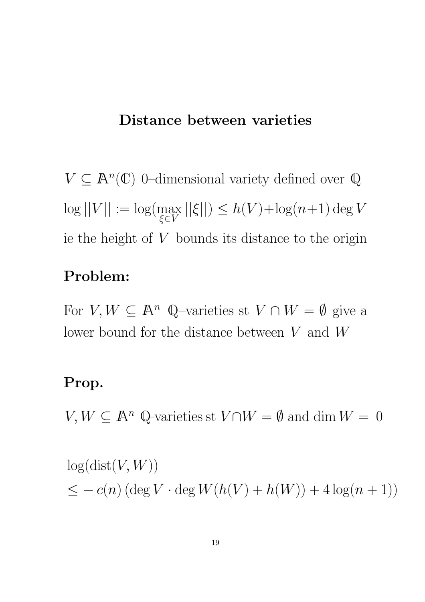#### Distance between varieties

 $V \subseteq \mathbb{A}^n(\mathbb{C})$  0-dimensional variety defined over  $\mathbb{Q}$  $\log ||V|| := \log(\max_{\mathcal{F} \in \mathcal{F}}$ ξ∈V  $||\xi|| \leq h(V) + \log(n+1) \deg V$ ie the height of  $V$  bounds its distance to the origin

## Problem:

For  $V, W \subseteq \mathbb{A}^n$  Q-varieties st  $V \cap W = \emptyset$  give a lower bound for the distance between  $V$  and  $W$ 

### Prop.

 $V, W \subseteq \mathbb{A}^n$  Q-varieties st  $V \cap W = \emptyset$  and  $\dim W = 0$ 

 $log(dist(V, W))$  $\leq -c(n) (\deg V \cdot \deg W(h(V) + h(W)) + 4 \log(n+1))$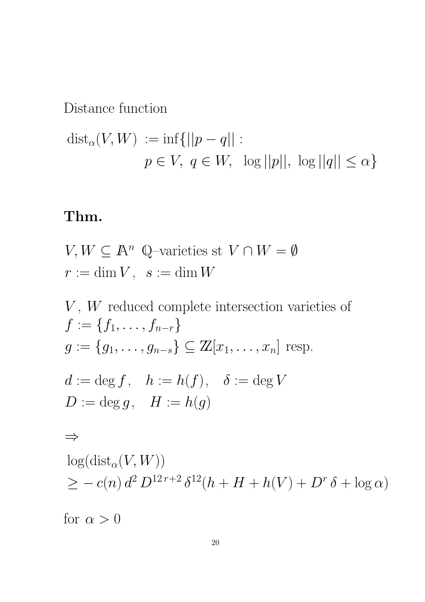Distance function

$$
dist_{\alpha}(V, W) := \inf \{ ||p - q|| :
$$
  

$$
p \in V, q \in W, \log ||p||, \log ||q|| \le \alpha \}
$$

# Thm.

$$
V, W \subseteq \mathbb{A}^n \quad \mathbb{Q}\text{-varieties st} \quad V \cap W = \emptyset
$$

$$
r := \dim V, \quad s := \dim W
$$

V, W reduced complete intersection varieties of  
\n
$$
f := \{f_1, ..., f_{n-r}\}
$$
  
\n $g := \{g_1, ..., g_{n-s}\} \subseteq \mathbb{Z}[x_1, ..., x_n]$  resp.  
\n $d := \deg f, \quad h := h(f), \quad \delta := \deg V$   
\n $D := \deg g, \quad H := h(g)$   
\n $\Rightarrow$   
\n $\log(\text{dist}_{\alpha}(V, W))$   
\n $\geq -c(n) d^2 D^{12r+2} \delta^{12}(h + H + h(V) + D^r \delta + \log \alpha)$   
\nfor  $\alpha > 0$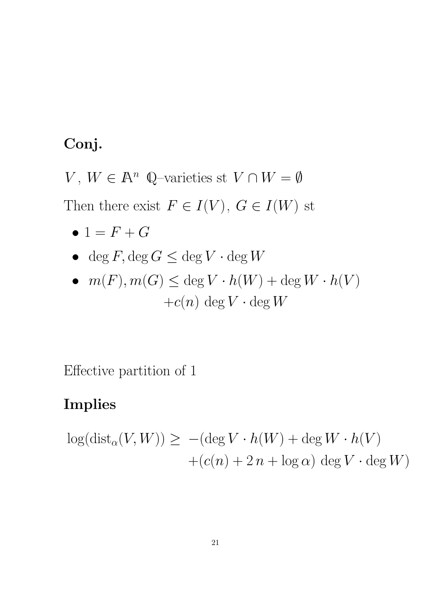# Conj.

V,  $W \in \mathbb{A}^n$  Q-varieties st  $V \cap W = \emptyset$ Then there exist  $F \in I(V)$ ,  $G \in I(W)$  st

- $1 = F + G$
- deg  $F$ , deg  $G \leq$  deg  $V \cdot$  deg  $W$

• 
$$
m(F), m(G) \le \deg V \cdot h(W) + \deg W \cdot h(V)
$$
  
+ $c(n) \deg V \cdot \deg W$ 

Effective partition of 1

# Implies

$$
log(dist_{\alpha}(V, W)) \geq -(deg V \cdot h(W) + deg W \cdot h(V)
$$

$$
+(c(n) + 2 n + log \alpha) deg V \cdot deg W)
$$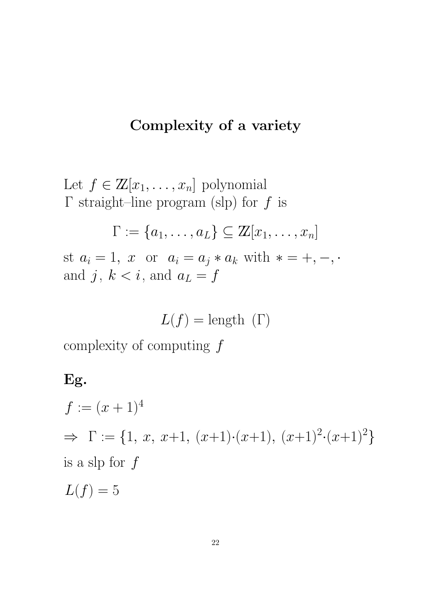## Complexity of a variety

Let  $f \in \mathbb{Z}[x_1,\ldots,x_n]$  polynomial  $\Gamma$  straight–line program (slp) for f is

$$
\Gamma := \{a_1, \ldots, a_L\} \subseteq \mathbb{Z}[x_1, \ldots, x_n]
$$

st  $a_i = 1$ , x or  $a_i = a_j * a_k$  with  $* = +, -, \cdot$ and j,  $k < i$ , and  $a_L = f$ 

$$
L(f) = \text{length}(\Gamma)
$$

complexity of computing  $f$ 

## Eg.

$$
f := (x+1)^4
$$
  
\n
$$
\Rightarrow \Gamma := \{1, x, x+1, (x+1) \cdot (x+1), (x+1)^2 \cdot (x+1)^2\}
$$
  
\nis a slp for  $f$ 

 $L(f) = 5$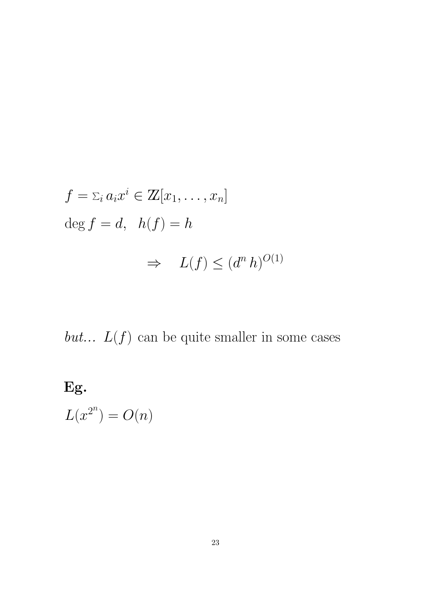$$
f = \sum_i a_i x^i \in \mathbb{Z}[x_1, \dots, x_n]
$$
  
deg  $f = d$ ,  $h(f) = h$   
 $\Rightarrow L(f) \leq (d^n h)^{O(1)}$ 

but...  $L(f)$  can be quite smaller in some cases

# Eg.

 $L(x^{2^n}) = O(n)$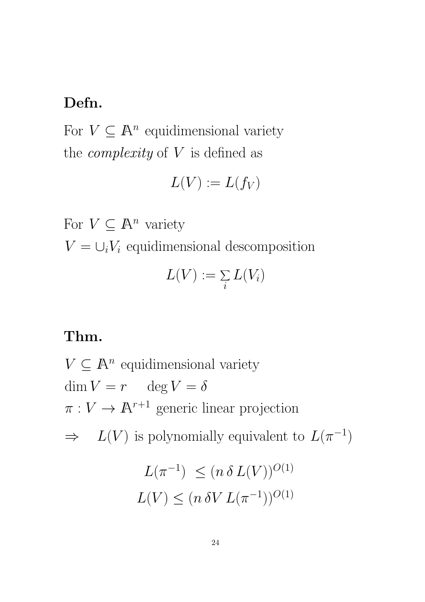## Defn.

For  $V \subseteq \mathbb{A}^n$  equidimensional variety the *complexity* of  $V$  is defined as

$$
L(V) := L(f_V)
$$

For  $V \subseteq \mathbb{A}^n$  variety

 $V = \bigcup_i V_i$  equidimensional descomposition

$$
L(V) := \sum_i L(V_i)
$$

## Thm.

 $V \subseteq \mathbb{A}^n$  equidimensional variety  $\dim V = r$   $\deg V = \delta$  $\pi: V \to \mathbb{A}^{r+1}$  generic linear projection  $\Rightarrow L(V)$  is polynomially equivalent to  $L(\pi^{-1})$  $L(\pi^{-1}) \leq (n \delta L(V))^{O(1)}$  $L(V) \leq (n \, \delta V \, L(\pi^{-1}))^{O(1)}$